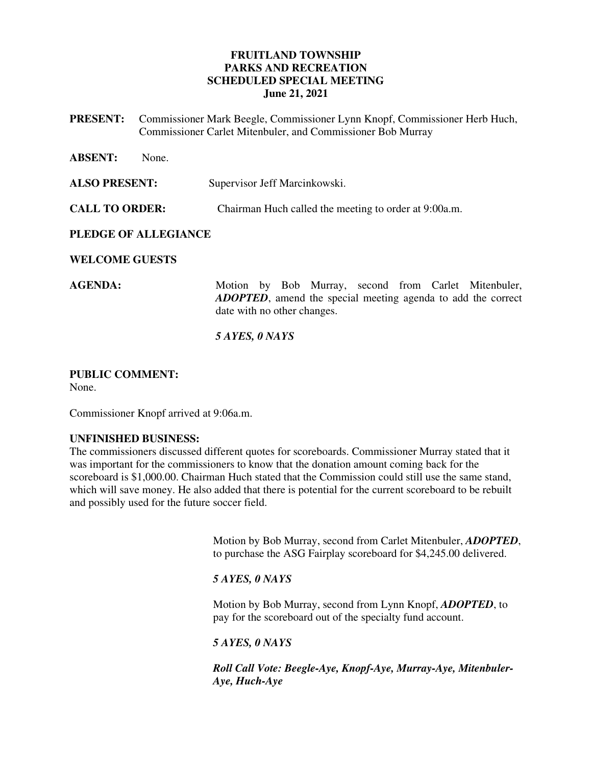## **FRUITLAND TOWNSHIP PARKS AND RECREATION SCHEDULED SPECIAL MEETING June 21, 2021**

- **PRESENT:** Commissioner Mark Beegle, Commissioner Lynn Knopf, Commissioner Herb Huch, Commissioner Carlet Mitenbuler, and Commissioner Bob Murray
- **ABSENT:** None. **ALSO PRESENT:** Supervisor Jeff Marcinkowski. **CALL TO ORDER:** Chairman Huch called the meeting to order at 9:00a.m. **PLEDGE OF ALLEGIANCE**

## **WELCOME GUESTS**

**AGENDA: Motion by Bob Murray, second from Carlet Mitenbuler,** *ADOPTED*, amend the special meeting agenda to add the correct date with no other changes.

## *5 AYES, 0 NAYS*

# **PUBLIC COMMENT:**

None.

Commissioner Knopf arrived at 9:06a.m.

#### **UNFINISHED BUSINESS:**

The commissioners discussed different quotes for scoreboards. Commissioner Murray stated that it was important for the commissioners to know that the donation amount coming back for the scoreboard is \$1,000.00. Chairman Huch stated that the Commission could still use the same stand, which will save money. He also added that there is potential for the current scoreboard to be rebuilt and possibly used for the future soccer field.

> Motion by Bob Murray, second from Carlet Mitenbuler, *ADOPTED*, to purchase the ASG Fairplay scoreboard for \$4,245.00 delivered.

#### *5 AYES, 0 NAYS*

Motion by Bob Murray, second from Lynn Knopf, *ADOPTED*, to pay for the scoreboard out of the specialty fund account.

## *5 AYES, 0 NAYS*

 *Roll Call Vote: Beegle-Aye, Knopf-Aye, Murray-Aye, Mitenbuler-Aye, Huch-Aye*